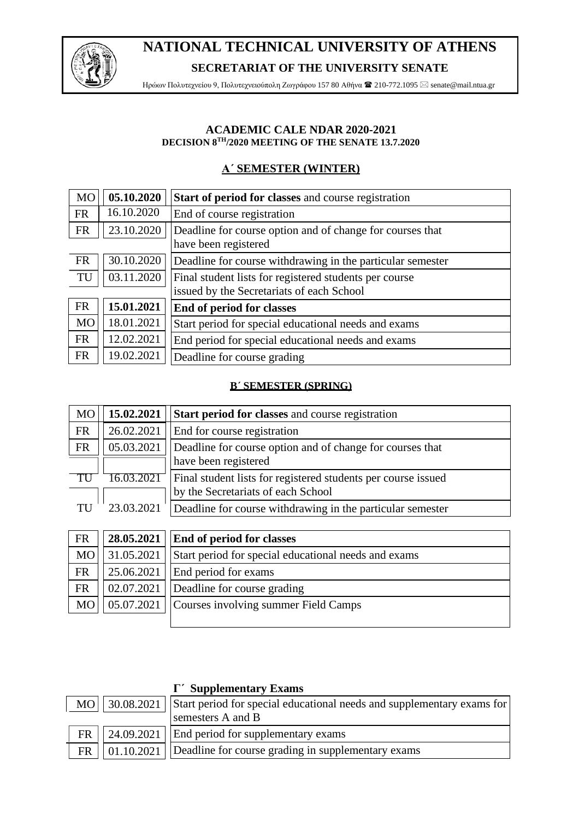

## **NATIONAL TECHNICAL UNIVERSITY OF ATHENS SECRETARIAT OF THE UNIVERSITY SENATE**

Ηρώων Πολυτεχνείου 9, Πολυτεχνειούπολη Ζωγράφου 157 80 Αθήνα  $\blacksquare$  210-772.1095  $\boxtimes$  senate@mail.ntua.gr

#### **ACADEMIC CALE NDAR 2020-2021 DECISION 8TH/2020 MEETING OF THE SENATE 13.7.2020**

## **Α΄ SEMESTER (WINTER)**

| <b>MO</b>                                 | 05.10.2020 | Start of period for classes and course registration        |  |
|-------------------------------------------|------------|------------------------------------------------------------|--|
| <b>FR</b>                                 | 16.10.2020 | End of course registration                                 |  |
| <b>FR</b>                                 | 23.10.2020 | Deadline for course option and of change for courses that  |  |
|                                           |            | have been registered                                       |  |
| <b>FR</b>                                 | 30.10.2020 | Deadline for course withdrawing in the particular semester |  |
| TU                                        | 03.11.2020 | Final student lists for registered students per course     |  |
| issued by the Secretariats of each School |            |                                                            |  |
| <b>FR</b>                                 | 15.01.2021 | <b>End of period for classes</b>                           |  |
| <b>MO</b>                                 | 18.01.2021 | Start period for special educational needs and exams       |  |
| <b>FR</b>                                 | 12.02.2021 | End period for special educational needs and exams         |  |
| <b>FR</b>                                 | 19.02.2021 | Deadline for course grading                                |  |

#### **B΄ SEMESTER (SPRING)**

| MO        | 15.02.2021 | <b>Start period for classes and course registration</b>       |  |
|-----------|------------|---------------------------------------------------------------|--|
| <b>FR</b> | 26.02.2021 | End for course registration                                   |  |
| <b>FR</b> | 05.03.2021 | Deadline for course option and of change for courses that     |  |
|           |            | have been registered                                          |  |
| - TU      | 6.03.2021  | Final student lists for registered students per course issued |  |
|           |            | by the Secretariats of each School                            |  |
| TU        | 23.03.2021 | Deadline for course withdrawing in the particular semester    |  |

| FR        |            | $28.05.2021$   End of period for classes             |  |
|-----------|------------|------------------------------------------------------|--|
| <b>MO</b> | 31.05.2021 | Start period for special educational needs and exams |  |
| <b>FR</b> |            | $25.06.2021$   End period for exams                  |  |
| <b>FR</b> |            | 02.07.2021   Deadline for course grading             |  |
| <b>MO</b> |            | 05.07.2021   Courses involving summer Field Camps    |  |
|           |            |                                                      |  |

|           |  | $\Gamma'$ Supplementary Exams                                                            |  |
|-----------|--|------------------------------------------------------------------------------------------|--|
|           |  | MO   30.08.2021   Start period for special educational needs and supplementary exams for |  |
|           |  | semesters A and B                                                                        |  |
| <b>FR</b> |  | $\vert$ 24.09.2021   End period for supplementary exams                                  |  |
| <b>FR</b> |  | $\vert$ 01.10.2021   Deadline for course grading in supplementary exams                  |  |